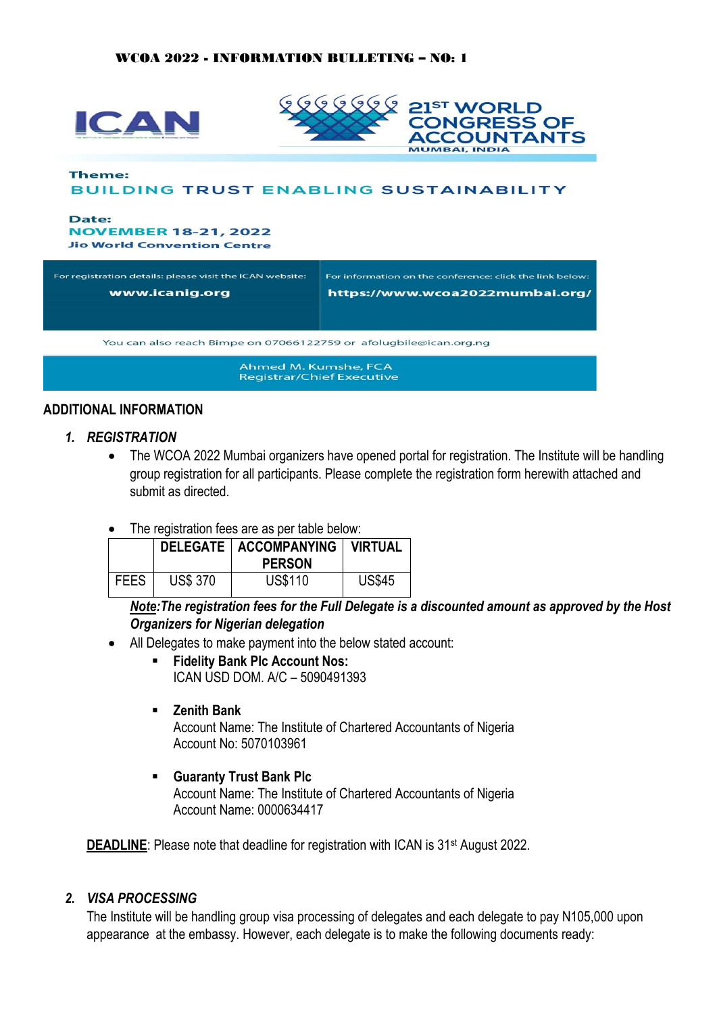

| For registration details: please visit the ICAN website:<br>www.icanig.org | For information on the conference: click the link below:<br>https://www.wcoa2022mumbai.org/ |  |  |  |  |
|----------------------------------------------------------------------------|---------------------------------------------------------------------------------------------|--|--|--|--|
| You can also reach Bimpe on 07066122759 or afolugbile@ican.org.ng          |                                                                                             |  |  |  |  |
| Ahmed M. Kumshe, FCA<br>Registrar/Chief Executive                          |                                                                                             |  |  |  |  |

#### **ADDITIONAL INFORMATION**

- *1. REGISTRATION*
	- The WCOA 2022 Mumbai organizers have opened portal for registration. The Institute will be handling group registration for all participants. Please complete the registration form herewith attached and submit as directed.
	- The registration fees are as per table below:

|             |                 | DELEGATE   ACCOMPANYING   VIRTUAL<br><b>PERSON</b> |               |
|-------------|-----------------|----------------------------------------------------|---------------|
| <b>FEES</b> | <b>US\$ 370</b> | <b>US\$110</b>                                     | <b>US\$45</b> |

*Note:The registration fees for the Full Delegate is a discounted amount as approved by the Host Organizers for Nigerian delegation*

- All Delegates to make payment into the below stated account:
	- **Fidelity Bank Plc Account Nos:** ICAN USD DOM. A/C – 5090491393
	- **Zenith Bank**

Account Name: The Institute of Chartered Accountants of Nigeria Account No: 5070103961

▪ **Guaranty Trust Bank Plc** Account Name: The Institute of Chartered Accountants of Nigeria Account Name: 0000634417

**DEADLINE:** Please note that deadline for registration with ICAN is 31<sup>st</sup> August 2022.

#### *2. VISA PROCESSING*

The Institute will be handling group visa processing of delegates and each delegate to pay N105,000 upon appearance at the embassy. However, each delegate is to make the following documents ready: